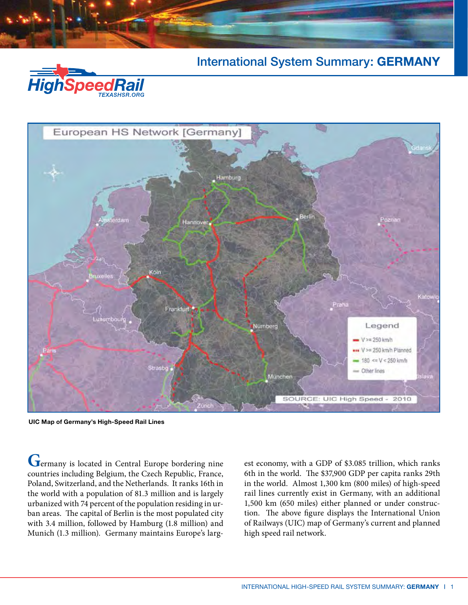

International System Summary: **GERMANY**



**UIC Map of Germany's High-Speed Rail Lines**

**G**ermany is located in Central Europe bordering nine countries including Belgium, the Czech Republic, France, Poland, Switzerland, and the Netherlands. It ranks 16th in the world with a population of 81.3 million and is largely urbanized with 74 percent of the population residing in urban areas. The capital of Berlin is the most populated city with 3.4 million, followed by Hamburg (1.8 million) and Munich (1.3 million). Germany maintains Europe's larg-

est economy, with a GDP of \$3.085 trillion, which ranks 6th in the world. The \$37,900 GDP per capita ranks 29th in the world. Almost 1,300 km (800 miles) of high-speed rail lines currently exist in Germany, with an additional 1,500 km (650 miles) either planned or under construction. The above figure displays the International Union of Railways (UIC) map of Germany's current and planned high speed rail network.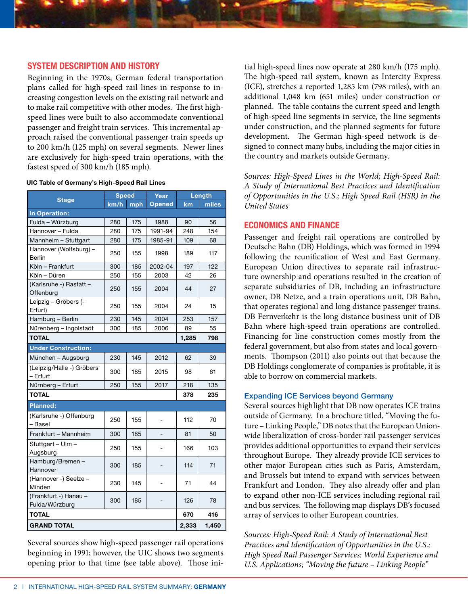## **System Description and History**

Beginning in the 1970s, German federal transportation plans called for high-speed rail lines in response to increasing congestion levels on the existing rail network and to make rail competitive with other modes. The first highspeed lines were built to also accommodate conventional passenger and freight train services. This incremental approach raised the conventional passenger train speeds up to 200 km/h (125 mph) on several segments. Newer lines are exclusively for high-speed train operations, with the fastest speed of 300 km/h (185 mph).

| <b>Stage</b>                            | <b>Speed</b> |     | Year          | Length |       |
|-----------------------------------------|--------------|-----|---------------|--------|-------|
|                                         | km/h         | mph | <b>Opened</b> | km     | miles |
| In Operation:                           |              |     |               |        |       |
| Fulda - Würzburg                        | 280          | 175 | 1988          | 90     | 56    |
| Hannover - Fulda                        | 280          | 175 | 1991-94       | 248    | 154   |
| Mannheim - Stuttgart                    | 280          | 175 | 1985-91       | 109    | 68    |
| Hannover (Wolfsburg) -<br><b>Berlin</b> | 250          | 155 | 1998          | 189    | 117   |
| Köln – Frankfurt                        | 300          | 185 | 2002-04       | 197    | 122   |
| Köln - Düren                            | 250          | 155 | 2003          | 42     | 26    |
| (Karlsruhe -) Rastatt -<br>Offenburg    | 250          | 155 | 2004          | 44     | 27    |
| Leipzig - Gröbers (-<br>Erfurt)         | 250          | 155 | 2004          | 24     | 15    |
| Hamburg - Berlin                        | 230          | 145 | 2004          | 253    | 157   |
| Nürenberg - Ingolstadt                  | 300          | 185 | 2006          | 89     | 55    |
| <b>TOTAL</b>                            |              |     |               | 1,285  | 798   |
| <b>Under Construction:</b>              |              |     |               |        |       |
| München - Augsburg                      | 230          | 145 | 2012          | 62     | 39    |
| (Leipzig/Halle -) Gröbers<br>- Erfurt   | 300          | 185 | 2015          | 98     | 61    |
| Nürnberg - Erfurt                       | 250          | 155 | 2017          | 218    | 135   |
| <b>TOTAL</b>                            |              |     |               | 378    | 235   |
| Planned:                                |              |     |               |        |       |
| (Karlsruhe -) Offenburg<br>– Basel      | 250          | 155 |               | 112    | 70    |
| Frankfurt - Mannheim                    | 300          | 185 |               | 81     | 50    |
| Stuttgart - Ulm -<br>Augsburg           | 250          | 155 |               | 166    | 103   |
| Hamburg/Bremen-<br>Hannover             | 300          | 185 |               | 114    | 71    |
| (Hannover -) Seelze -<br>Minden         | 230          | 145 |               | 71     | 44    |
| (Frankfurt -) Hanau -<br>Fulda/Würzburg | 300          | 185 |               | 126    | 78    |
| <b>TOTAL</b>                            |              |     |               | 670    | 416   |
| <b>GRAND TOTAL</b>                      |              |     |               | 2,333  | 1,450 |

Several sources show high-speed passenger rail operations beginning in 1991; however, the UIC shows two segments opening prior to that time (see table above). Those ini-

tial high-speed lines now operate at 280 km/h (175 mph). The high-speed rail system, known as Intercity Express (ICE), stretches a reported 1,285 km (798 miles), with an additional 1,048 km (651 miles) under construction or planned. The table contains the current speed and length of high-speed line segments in service, the line segments under construction, and the planned segments for future development. The German high-speed network is designed to connect many hubs, including the major cities in the country and markets outside Germany.

*Sources: High-Speed Lines in the World; High-Speed Rail: A Study of International Best Practices and Identification of Opportunities in the U.S.; High Speed Rail (HSR) in the United States*

## **Economics and Finance**

Passenger and freight rail operations are controlled by Deutsche Bahn (DB) Holdings, which was formed in 1994 following the reunification of West and East Germany. European Union directives to separate rail infrastructure ownership and operations resulted in the creation of separate subsidiaries of DB, including an infrastructure owner, DB Netze, and a train operations unit, DB Bahn, that operates regional and long distance passenger trains. DB Fernverkehr is the long distance business unit of DB Bahn where high-speed train operations are controlled. Financing for line construction comes mostly from the federal government, but also from states and local governments. Thompson (2011) also points out that because the DB Holdings conglomerate of companies is profitable, it is able to borrow on commercial markets.

### Expanding ICE Services beyond Germany

Several sources highlight that DB now operates ICE trains outside of Germany. In a brochure titled, "Moving the future – Linking People," DB notes that the European Unionwide liberalization of cross-border rail passenger services provides additional opportunities to expand their services throughout Europe. They already provide ICE services to other major European cities such as Paris, Amsterdam, and Brussels but intend to expand with services between Frankfurt and London. They also already offer and plan to expand other non-ICE services including regional rail and bus services. The following map displays DB's focused array of services to other European countries.

*Sources: High-Speed Rail: A Study of International Best Practices and Identification of Opportunities in the U.S.; High Speed Rail Passenger Services: World Experience and U.S. Applications; "Moving the future – Linking People"*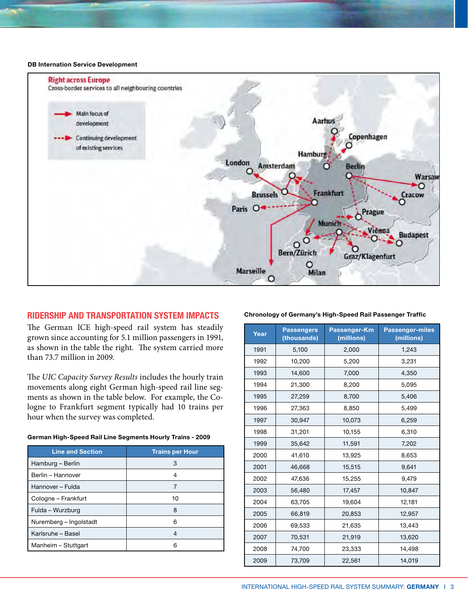#### **DB Internation Service Development**



## **Ridersh ip and Transportation System Impacts**

The German ICE high-speed rail system has steadily grown since accounting for 5.1 million passengers in 1991, as shown in the table the right. The system carried more than 73.7 million in 2009.

The *UIC Capacity Survey Results* includes the hourly train movements along eight German high-speed rail line segments as shown in the table below. For example, the Cologne to Frankfurt segment typically had 10 trains per hour when the survey was completed.

| German High-Speed Rail Line Segments Hourly Trains - 2009 |  |  |  |
|-----------------------------------------------------------|--|--|--|
|-----------------------------------------------------------|--|--|--|

| <b>Line and Section</b> | <b>Trains per Hour</b> |
|-------------------------|------------------------|
| Hamburg – Berlin        | 3                      |
| Berlin - Hannover       |                        |
| Hannover - Fulda        |                        |
| Cologne - Frankfurt     | 10                     |
| Fulda - Wurzburg        | 8                      |
| Nuremberg - Ingolstadt  | ิค                     |
| Karlsruhe - Basel       |                        |
| Manheim - Stuttgart     | ค                      |

#### **Chronology of Germany's High-Speed Rail Passenger Traffic**

| Year | <b>Passengers</b><br>(thousands) | Passenger-Km<br>(millions) | <b>Passenger-miles</b><br>(millions) |  |
|------|----------------------------------|----------------------------|--------------------------------------|--|
| 1991 | 5,100                            | 2,000                      | 1,243                                |  |
| 1992 | 10,200                           | 5,200                      | 3,231                                |  |
| 1993 | 14,600                           | 7,000                      | 4,350                                |  |
| 1994 | 21,300                           | 8,200                      | 5,095                                |  |
| 1995 | 27,259                           | 8,700                      | 5,406                                |  |
| 1996 | 27,363                           | 8,850                      | 5,499                                |  |
| 1997 | 30,947                           | 10,073                     | 6,259                                |  |
| 1998 | 31,201                           | 10,155                     | 6,310                                |  |
| 1999 | 35,642                           | 11,591                     | 7,202                                |  |
| 2000 | 41,610                           | 13,925                     | 8,653                                |  |
| 2001 | 46,668                           | 15,515                     | 9,641                                |  |
| 2002 | 47,636                           | 15,255                     | 9,479                                |  |
| 2003 | 56,480                           | 17,457                     | 10,847                               |  |
| 2004 | 63,705                           | 19,604                     | 12,181                               |  |
| 2005 | 66,819                           | 20,853                     | 12,957                               |  |
| 2006 | 69,533                           | 21,635                     | 13,443                               |  |
| 2007 | 70,531                           | 21,919                     | 13,620                               |  |
| 2008 | 74,700                           | 23,333                     | 14,498                               |  |
| 2009 | 73,709                           | 22,561                     | 14,019                               |  |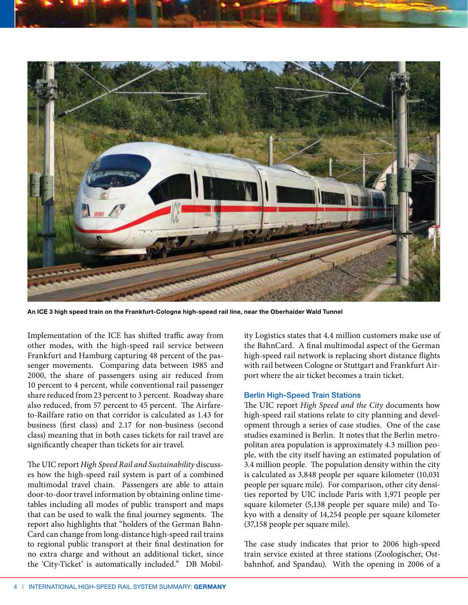



**An ICE 3 high speed train on the Frankfurt-Cologne high-speed rail line, near the Oberhaider Wald Tunnel**

Implementation of the ICE has shifted traffic away from other modes, with the high-speed rail service between Frankfurt and Hamburg capturing 48 percent of the passenger movements. Comparing data between 1985 and 2000, the share of passengers using air reduced from 10 percent to 4 percent, while conventional rail passenger share reduced from 23 percent to 3 percent. Roadway share also reduced, from 57 percent to 45 percent. The Airfareto-Railfare ratio on that corridor is calculated as 1.43 for business (first class) and 2.17 for non-business (second class) meaning that in both cases tickets for rail travel are significantly cheaper than tickets for air travel.

The UIC report *High Speed Rail and Sustainability* discusses how the high-speed rail system is part of a combined multimodal travel chain. Passengers are able to attain door-to-door travel information by obtaining online timetables including all modes of public transport and maps that can be used to walk the final journey segments. The report also highlights that "holders of the German Bahn-Card can change from long-distance high-speed rail trains to regional public transport at their final destination for no extra charge and without an additional ticket, since the 'City-Ticket' is automatically included." DB Mobility Logistics states that 4.4 million customers make use of the BahnCard. A final multimodal aspect of the German high-speed rail network is replacing short distance flights with rail between Cologne or Stuttgart and Frankfurt Airport where the air ticket becomes a train ticket.

### Berlin High-Speed Train Stations

The UIC report *High Speed and the City* documents how high-speed rail stations relate to city planning and development through a series of case studies. One of the case studies examined is Berlin. It notes that the Berlin metropolitan area population is approximately 4.3 million people, with the city itself having an estimated population of 3.4 million people. The population density within the city is calculated as 3,848 people per square kilometer (10,031 people per square mile). For comparison, other city densities reported by UIC include Paris with 1,971 people per square kilometer (5,138 people per square mile) and Tokyo with a density of 14,254 people per square kilometer (37,158 people per square mile).

The case study indicates that prior to 2006 high-speed train service existed at three stations (Zoologischer, Ostbahnhof, and Spandau). With the opening in 2006 of a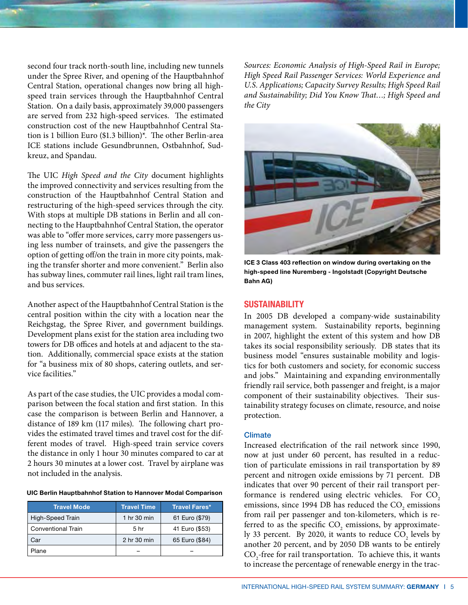second four track north-south line, including new tunnels under the Spree River, and opening of the Hauptbahnhof Central Station, operational changes now bring all highspeed train services through the Hauptbahnhof Central Station. On a daily basis, approximately 39,000 passengers are served from 232 high-speed services. The estimated construction cost of the new Hauptbahnhof Central Station is 1 billion Euro (\$1.3 billion)\*. The other Berlin-area ICE stations include Gesundbrunnen, Ostbahnhof, Sudkreuz, and Spandau.

The UIC *High Speed and the City* document highlights the improved connectivity and services resulting from the construction of the Hauptbahnhof Central Station and restructuring of the high-speed services through the city. With stops at multiple DB stations in Berlin and all connecting to the Hauptbahnhof Central Station, the operator was able to "offer more services, carry more passengers using less number of trainsets, and give the passengers the option of getting off/on the train in more city points, making the transfer shorter and more convenient." Berlin also has subway lines, commuter rail lines, light rail tram lines, and bus services.

Another aspect of the Hauptbahnhof Central Station is the central position within the city with a location near the Reichgstag, the Spree River, and government buildings. Development plans exist for the station area including two towers for DB offices and hotels at and adjacent to the station. Additionally, commercial space exists at the station for "a business mix of 80 shops, catering outlets, and service facilities."

As part of the case studies, the UIC provides a modal comparison between the focal station and first station. In this case the comparison is between Berlin and Hannover, a distance of 189 km (117 miles). The following chart provides the estimated travel times and travel cost for the different modes of travel. High-speed train service covers the distance in only 1 hour 30 minutes compared to car at 2 hours 30 minutes at a lower cost. Travel by airplane was not included in the analysis.

**UIC Berlin Hauptbahnhof Station to Hannover Modal Comparison**

| <b>Travel Mode</b>        | <b>Travel Time</b> | Travel Fares*  |
|---------------------------|--------------------|----------------|
| High-Speed Train          | 1 hr 30 min        | 61 Euro (\$79) |
| <b>Conventional Train</b> | 5 <sub>hr</sub>    | 41 Euro (\$53) |
| Car                       | 2 hr 30 min        | 65 Euro (\$84) |
| Plane                     |                    |                |

*Sources: Economic Analysis of High-Speed Rail in Europe; High Speed Rail Passenger Services: World Experience and U.S. Applications; Capacity Survey Results; High Speed Rail and Sustainability; Did You Know That…; High Speed and the City*



**ICE 3 Class 403 reflection on window during overtaking on the high-speed line Nuremberg - Ingolstadt (Copyright Deutsche Bahn AG)**

### **Sustainability**

In 2005 DB developed a company-wide sustainability management system. Sustainability reports, beginning in 2007, highlight the extent of this system and how DB takes its social responsibility seriously. DB states that its business model "ensures sustainable mobility and logistics for both customers and society, for economic success and jobs." Maintaining and expanding environmentally friendly rail service, both passenger and freight, is a major component of their sustainability objectives. Their sustainability strategy focuses on climate, resource, and noise protection.

#### Climate

Increased electrification of the rail network since 1990, now at just under 60 percent, has resulted in a reduction of particulate emissions in rail transportation by 89 percent and nitrogen oxide emissions by 71 percent. DB indicates that over 90 percent of their rail transport performance is rendered using electric vehicles. For CO<sub>2</sub> emissions, since 1994 DB has reduced the  $\mathrm{CO}_2$  emissions from rail per passenger and ton-kilometers, which is referred to as the specific  $\mathrm{CO}_2$  emissions, by approximately 33 percent. By 2020, it wants to reduce  $\text{CO}_2$  levels by another 20 percent, and by 2050 DB wants to be entirely  $\mathrm{CO}_2$ -free for rail transportation. To achieve this, it wants to increase the percentage of renewable energy in the trac-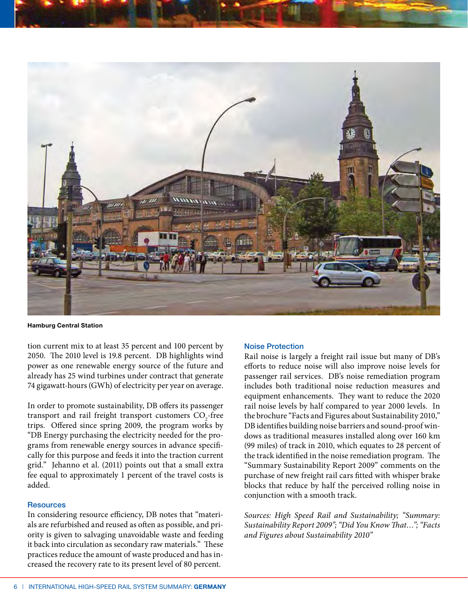



**Hamburg Central Station**

tion current mix to at least 35 percent and 100 percent by 2050. The 2010 level is 19.8 percent. DB highlights wind power as one renewable energy source of the future and already has 25 wind turbines under contract that generate 74 gigawatt-hours (GWh) of electricity per year on average.

In order to promote sustainability, DB offers its passenger transport and rail freight transport customers  $\mathrm{CO}_2\text{-}$ free trips. Offered since spring 2009, the program works by "DB Energy purchasing the electricity needed for the programs from renewable energy sources in advance specifically for this purpose and feeds it into the traction current grid." Jehanno et al. (2011) points out that a small extra fee equal to approximately 1 percent of the travel costs is added.

### **Resources**

In considering resource efficiency, DB notes that "materials are refurbished and reused as often as possible, and priority is given to salvaging unavoidable waste and feeding it back into circulation as secondary raw materials." These practices reduce the amount of waste produced and has increased the recovery rate to its present level of 80 percent.

#### Noise Protection

Rail noise is largely a freight rail issue but many of DB's efforts to reduce noise will also improve noise levels for passenger rail services. DB's noise remediation program includes both traditional noise reduction measures and equipment enhancements. They want to reduce the 2020 rail noise levels by half compared to year 2000 levels. In the brochure "Facts and Figures about Sustainability 2010," DB identifies building noise barriers and sound-proof windows as traditional measures installed along over 160 km (99 miles) of track in 2010, which equates to 28 percent of the track identified in the noise remediation program. The "Summary Sustainability Report 2009" comments on the purchase of new freight rail cars fitted with whisper brake blocks that reduce by half the perceived rolling noise in conjunction with a smooth track.

*Sources: High Speed Rail and Sustainability; "Summary: Sustainability Report 2009"; "Did You Know That…"; "Facts and Figures about Sustainability 2010"*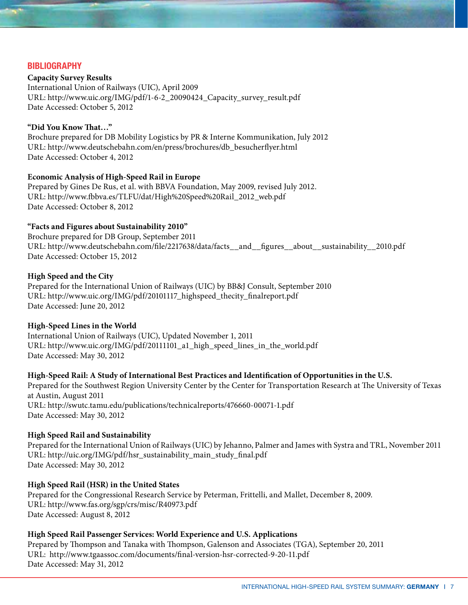# **Bibliography**

**Capacity Survey Results** International Union of Railways (UIC), April 2009 URL: http://www.uic.org/IMG/pdf/1-6-2\_20090424\_Capacity\_survey\_result.pdf Date Accessed: October 5, 2012

## **"Did You Know That…"**

Brochure prepared for DB Mobility Logistics by PR & Interne Kommunikation, July 2012 URL: http://www.deutschebahn.com/en/press/brochures/db\_besucherflyer.html Date Accessed: October 4, 2012

### **Economic Analysis of High-Speed Rail in Europe**

Prepared by Gines De Rus, et al. with BBVA Foundation, May 2009, revised July 2012. URL: http://www.fbbva.es/TLFU/dat/High%20Speed%20Rail\_2012\_web.pdf Date Accessed: October 8, 2012

## **"Facts and Figures about Sustainability 2010"**

Brochure prepared for DB Group, September 2011 URL: http://www.deutschebahn.com/file/2217638/data/facts\_\_and\_\_figures\_\_about\_\_sustainability\_\_2010.pdf Date Accessed: October 15, 2012

### **High Speed and the City**

Prepared for the International Union of Railways (UIC) by BB&J Consult, September 2010 URL: http://www.uic.org/IMG/pdf/20101117\_highspeed\_thecity\_finalreport.pdf Date Accessed: June 20, 2012

### **High-Speed Lines in the World**

International Union of Railways (UIC), Updated November 1, 2011 URL: http://www.uic.org/IMG/pdf/20111101\_a1\_high\_speed\_lines\_in\_the\_world.pdf Date Accessed: May 30, 2012

## **High-Speed Rail: A Study of International Best Practices and Identification of Opportunities in the U.S.**

Prepared for the Southwest Region University Center by the Center for Transportation Research at The University of Texas at Austin, August 2011 URL: http://swutc.tamu.edu/publications/technicalreports/476660-00071-1.pdf Date Accessed: May 30, 2012

## **High Speed Rail and Sustainability**

Prepared for the International Union of Railways (UIC) by Jehanno, Palmer and James with Systra and TRL, November 2011 URL: http://uic.org/IMG/pdf/hsr\_sustainability\_main\_study\_final.pdf Date Accessed: May 30, 2012

## **High Speed Rail (HSR) in the United States**

Prepared for the Congressional Research Service by Peterman, Frittelli, and Mallet, December 8, 2009. URL: http://www.fas.org/sgp/crs/misc/R40973.pdf Date Accessed: August 8, 2012

## **High Speed Rail Passenger Services: World Experience and U.S. Applications**

Prepared by Thompson and Tanaka with Thompson, Galenson and Associates (TGA), September 20, 2011 URL: http://www.tgaassoc.com/documents/final-version-hsr-corrected-9-20-11.pdf Date Accessed: May 31, 2012